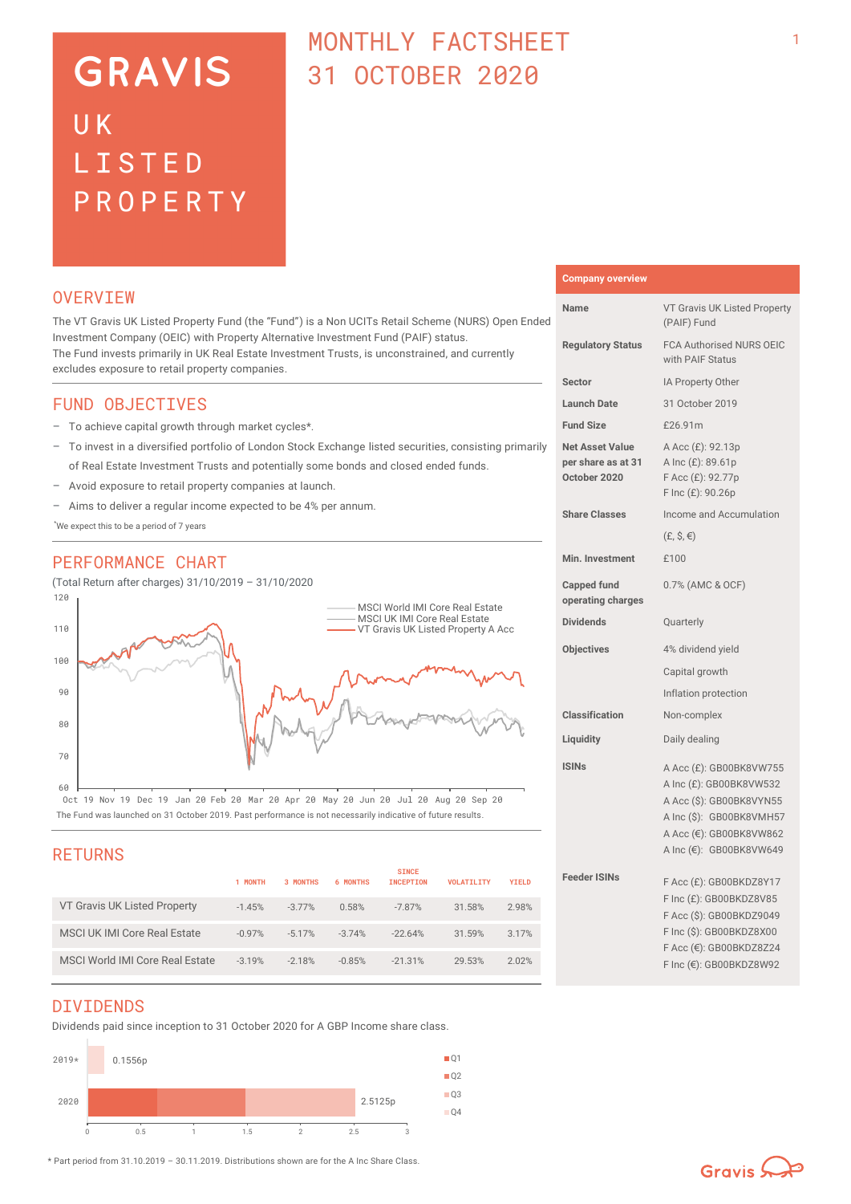# **GRAVIS** UK LISTED PROPERTY

## MONTHI Y FACTSHEET 31 OCTOBER 2020

### **OVERVTEW**

The VT Gravis UK Listed Property Fund (the "Fund") is a Non UCITs Retail Scheme (NURS) Open Ended Investment Company (OEIC) with Property Alternative Investment Fund (PAIF) status. The Fund invests primarily in UK Real Estate Investment Trusts, is unconstrained, and currently excludes exposure to retail property companies.

### FUND OBJECTIVES

- To achieve capital growth through market cycles\*.
- To invest in a diversified portfolio of London Stock Exchange listed securities, consisting primarily of Real Estate Investment Trusts and potentially some bonds and closed ended funds.
- Avoid exposure to retail property companies at launch.
- Aims to deliver a regular income expected to be 4% per annum.

\*We expect this to be a period of 7 years

### PERFORMANCE CHART

(Total Return after charges) 31/10/2019 – 31/10/2020



The Fund was launched on 31 October 2019. Past performance is not necessarily indicative of future results. Oct 19 Nov 19 Dec 19 Jan 20 Feb 20 Mar 20 Apr 20 May 20 Jun 20 Jul 20 Aug 20 Sep 20

### RETURNS

|                                     | 1 MONTH  | 3 MONTHS | 6 MONTHS | <b>SINCE</b><br><b>INCEPTION</b> | <b>VOLATILITY</b> | <b>YIELD</b> |
|-------------------------------------|----------|----------|----------|----------------------------------|-------------------|--------------|
| VT Gravis UK Listed Property        | $-1.45%$ | $-3.77%$ | 0.58%    | $-7.87%$                         | 31.58%            | 2.98%        |
| <b>MSCI UK IMI Core Real Estate</b> | $-0.97%$ | $-5.17%$ | $-3.74%$ | $-22.64%$                        | 31.59%            | 3.17%        |
| MSCI World IMI Core Real Estate     | $-3.19%$ | $-218%$  | $-0.85%$ | $-21.31%$                        | 29.53%            | 2.02%        |

### DIVIDENDS

Dividends paid since inception to 31 October 2020 for A GBP Income share class.



### **Company overview**

| Name                                                         | VT Gravis UK Listed Property<br>(PAIF) Fund                                                                                                                      |  |  |
|--------------------------------------------------------------|------------------------------------------------------------------------------------------------------------------------------------------------------------------|--|--|
| <b>Regulatory Status</b>                                     | FCA Authorised NURS OEIC<br>with PAIF Status                                                                                                                     |  |  |
| Sector                                                       | IA Property Other                                                                                                                                                |  |  |
| <b>Launch Date</b>                                           | 31 October 2019                                                                                                                                                  |  |  |
| <b>Fund Size</b>                                             | £26.91m                                                                                                                                                          |  |  |
| <b>Net Asset Value</b><br>per share as at 31<br>October 2020 | A Acc (£): 92.13p<br>A Inc (£): 89.61p<br>F Acc (£): 92.77p<br>F Inc (£): 90.26p                                                                                 |  |  |
| <b>Share Classes</b>                                         | Income and Accumulation                                                                                                                                          |  |  |
|                                                              | $(E, \hat{S}, \epsilon)$                                                                                                                                         |  |  |
| <b>Min. Investment</b>                                       | £100                                                                                                                                                             |  |  |
| <b>Capped fund</b><br>operating charges                      | 0.7% (AMC & OCF)                                                                                                                                                 |  |  |
| <b>Dividends</b>                                             | Quarterly                                                                                                                                                        |  |  |
| <b>Objectives</b>                                            | 4% dividend yield                                                                                                                                                |  |  |
|                                                              | Capital growth                                                                                                                                                   |  |  |
|                                                              | Inflation protection                                                                                                                                             |  |  |
| <b>Classification</b>                                        | Non-complex                                                                                                                                                      |  |  |
| Liquidity                                                    | Daily dealing                                                                                                                                                    |  |  |
| <b>ISINs</b>                                                 | A Acc (£): GB00BK8VW755<br>A Inc (£): GB00BK8VW532<br>A Acc (\$): GB00BK8VYN55<br>A Inc (\$): GB00BK8VMH57<br>A Acc (€): GB00BK8VW862<br>A Inc (€): GB00BK8VW649 |  |  |
| <b>Feeder ISINs</b>                                          | F Acc (£): GB00BKDZ8Y17<br>F Inc (£): GB00BKDZ8V85<br>F Acc (\$): GB00BKDZ9049<br>F Inc (\$): GB00BKDZ8X00<br>F Acc (€): GB00BKDZ8Z24<br>F Inc (€): GB00BKDZ8W92 |  |  |

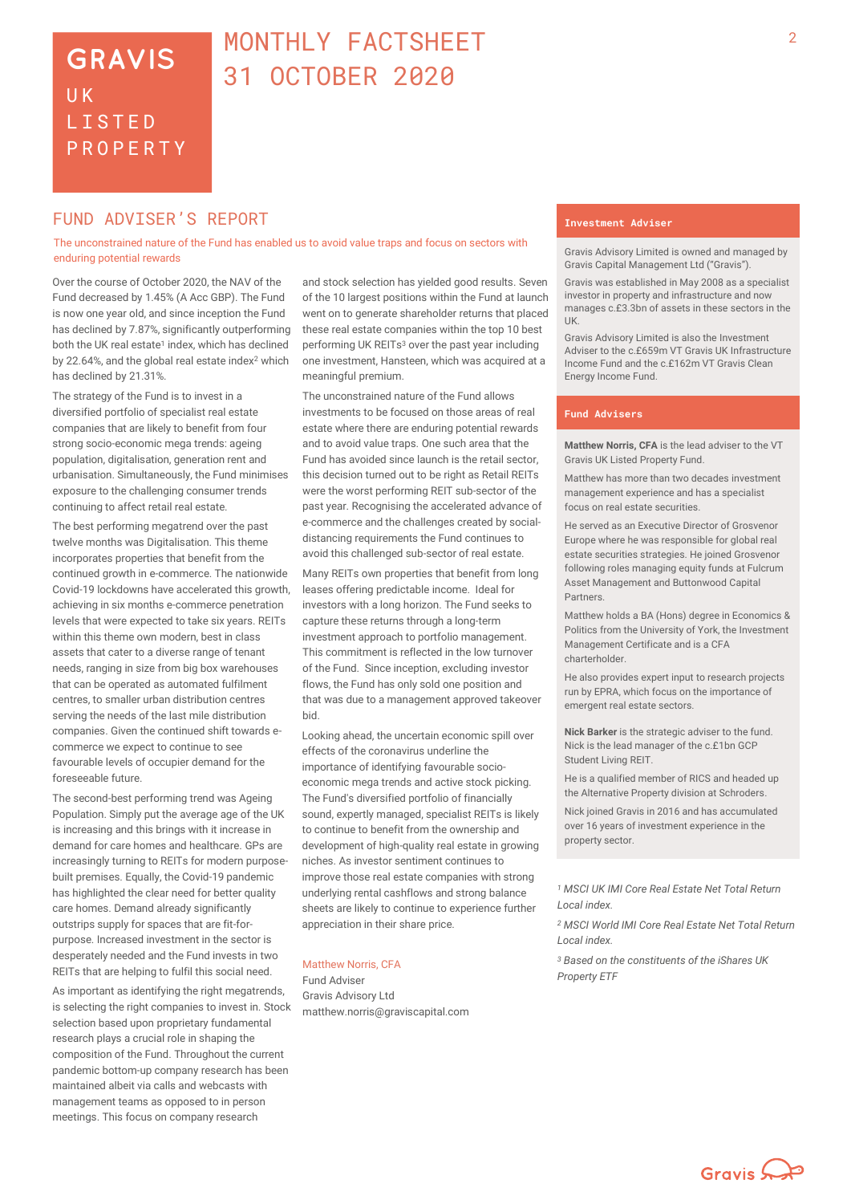## **GRAVIS UK** LISTED PROPERTY

## <sup>2</sup> MONTHLY FACTSHEET 31 OCTOBER 2020

### **FUND ADVISER'S REPORT THE EXAMPLE ADVISER'S**

The unconstrained nature of the Fund has enabled us to avoid value traps and focus on sectors with enduring potential rewards

Over the course of October 2020, the NAV of the Fund decreased by 1.45% (A Acc GBP). The Fund is now one year old, and since inception the Fund has declined by 7.87%, significantly outperforming both the UK real estate<sup>1</sup> index, which has declined by 22.64%, and the global real estate index<sup>2</sup> which has declined by 21.31%.

The strategy of the Fund is to invest in a diversified portfolio of specialist real estate companies that are likely to benefit from four strong socio-economic mega trends: ageing population, digitalisation, generation rent and urbanisation. Simultaneously, the Fund minimises exposure to the challenging consumer trends continuing to affect retail real estate.

The best performing megatrend over the past twelve months was Digitalisation. This theme incorporates properties that benefit from the continued growth in e-commerce. The nationwide Covid-19 lockdowns have accelerated this growth, achieving in six months e-commerce penetration levels that were expected to take six years. REITs within this theme own modern, best in class assets that cater to a diverse range of tenant needs, ranging in size from big box warehouses that can be operated as automated fulfilment centres, to smaller urban distribution centres serving the needs of the last mile distribution companies. Given the continued shift towards ecommerce we expect to continue to see favourable levels of occupier demand for the foreseeable future.

The second-best performing trend was Ageing Population. Simply put the average age of the UK is increasing and this brings with it increase in demand for care homes and healthcare. GPs are increasingly turning to REITs for modern purposebuilt premises. Equally, the Covid-19 pandemic has highlighted the clear need for better quality care homes. Demand already significantly outstrips supply for spaces that are fit-forpurpose. Increased investment in the sector is desperately needed and the Fund invests in two REITs that are helping to fulfil this social need.

As important as identifying the right megatrends, is selecting the right companies to invest in. Stock selection based upon proprietary fundamental research plays a crucial role in shaping the composition of the Fund. Throughout the current pandemic bottom-up company research has been maintained albeit via calls and webcasts with management teams as opposed to in person meetings. This focus on company research

and stock selection has yielded good results. Seven of the 10 largest positions within the Fund at launch went on to generate shareholder returns that placed these real estate companies within the top 10 best performing UK REITs<sup>3</sup> over the past year including one investment, Hansteen, which was acquired at a meaningful premium.

The unconstrained nature of the Fund allows investments to be focused on those areas of real estate where there are enduring potential rewards and to avoid value traps. One such area that the Fund has avoided since launch is the retail sector, this decision turned out to be right as Retail REITs were the worst performing REIT sub-sector of the past year. Recognising the accelerated advance of e-commerce and the challenges created by socialdistancing requirements the Fund continues to avoid this challenged sub-sector of real estate.

Many REITs own properties that benefit from long leases offering predictable income. Ideal for investors with a long horizon. The Fund seeks to capture these returns through a long-term investment approach to portfolio management. This commitment is reflected in the low turnover of the Fund. Since inception, excluding investor flows, the Fund has only sold one position and that was due to a management approved takeover bid.

Looking ahead, the uncertain economic spill over effects of the coronavirus underline the importance of identifying favourable socioeconomic mega trends and active stock picking. The Fund's diversified portfolio of financially sound, expertly managed, specialist REITs is likely to continue to benefit from the ownership and development of high-quality real estate in growing niches. As investor sentiment continues to improve those real estate companies with strong underlying rental cashflows and strong balance sheets are likely to continue to experience further appreciation in their share price.

### Matthew Norris, CFA

Fund Adviser Gravis Advisory Ltd matthew.norris@graviscapital.com

Gravis Advisory Limited is owned and managed by Gravis Capital Management Ltd ("Gravis").

Gravis was established in May 2008 as a specialist investor in property and infrastructure and now manages c.£3.3bn of assets in these sectors in the UK.

Gravis Advisory Limited is also the Investment Adviser to the c.£659m VT Gravis UK Infrastructure Income Fund and the c.£162m VT Gravis Clean Energy Income Fund.

### **Fund Advisers**

**Matthew Norris, CFA** is the lead adviser to the VT Gravis UK Listed Property Fund.

Matthew has more than two decades investment management experience and has a specialist focus on real estate securities.

He served as an Executive Director of Grosvenor Europe where he was responsible for global real estate securities strategies. He joined Grosvenor following roles managing equity funds at Fulcrum Asset Management and Buttonwood Capital **Partners** 

Matthew holds a BA (Hons) degree in Economics & Politics from the University of York, the Investment Management Certificate and is a CFA charterholder.

He also provides expert input to research projects run by EPRA, which focus on the importance of emergent real estate sectors.

**Nick Barker** is the strategic adviser to the fund. Nick is the lead manager of the c.£1bn GCP Student Living REIT.

He is a qualified member of RICS and headed up the Alternative Property division at Schroders.

Nick joined Gravis in 2016 and has accumulated over 16 years of investment experience in the property sector.

*<sup>1</sup> MSCI UK IMI Core Real Estate Net Total Return Local index.*

*<sup>2</sup> MSCI World IMI Core Real Estate Net Total Return Local index.*

*<sup>3</sup> Based on the constituents of the iShares UK Property ETF*